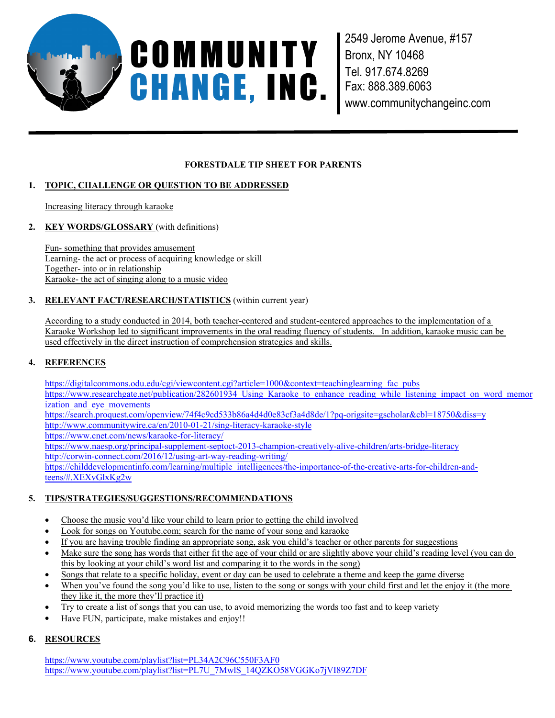

2549 Jerome Avenue, #157 Bronx, NY 10468 Tel. 917.674.8269 Fax: 888.389.6063 www.communitychangeinc.com

#### **FORESTDALE TIP SHEET FOR PARENTS**

# **1. TOPIC, CHALLENGE OR QUESTION TO BE ADDRESSED**

Increasing literacy through karaoke

**2. KEY WORDS/GLOSSARY** (with definitions)

Fun- something that provides amusement Learning- the act or process of acquiring knowledge or skill Together- into or in relationship Karaoke- the act of singing along to a music video

#### **3. RELEVANT FACT/RESEARCH/STATISTICS** (within current year)

According to a study conducted in 2014, both teacher-centered and student-centered approaches to the implementation of a Karaoke Workshop led to significant improvements in the oral reading fluency of students. In addition, karaoke music can be used effectively in the direct instruction of comprehension strategies and skills.

## **4. REFERENCES**

https://digitalcommons.odu.edu/cgi/viewcontent.cgi?article=1000&context=teachinglearning\_fac\_pubs https://www.researchgate.net/publication/282601934\_Using\_Karaoke\_to\_enhance\_reading\_while\_listening\_impact\_on\_word\_memor ization and eye movements

https://search.proquest.com/openview/74f4c9cd533b86a4d4d0e83cf3a4d8de/1?pq-origsite=gscholar&cbl=18750&diss=y http://www.communitywire.ca/en/2010-01-21/sing-literacy-karaoke-style

https://www.cnet.com/news/karaoke-for-literacy/

https://www.naesp.org/principal-supplement-septoct-2013-champion-creatively-alive-children/arts-bridge-literacy http://corwin-connect.com/2016/12/using-art-way-reading-writing/

https://childdevelopmentinfo.com/learning/multiple\_intelligences/the-importance-of-the-creative-arts-for-children-andteens/#.XEXvGlxKg2w

# **5. TIPS/STRATEGIES/SUGGESTIONS/RECOMMENDATIONS**

- Choose the music you'd like your child to learn prior to getting the child involved
- Look for songs on Youtube.com; search for the name of your song and karaoke
- If you are having trouble finding an appropriate song, ask you child's teacher or other parents for suggestions
- Make sure the song has words that either fit the age of your child or are slightly above your child's reading level (you can do this by looking at your child's word list and comparing it to the words in the song)
- Songs that relate to a specific holiday, event or day can be used to celebrate a theme and keep the game diverse
- When you've found the song you'd like to use, listen to the song or songs with your child first and let the enjoy it (the more they like it, the more they'll practice it)
- Try to create a list of songs that you can use, to avoid memorizing the words too fast and to keep variety
- Have FUN, participate, make mistakes and enjoy!!

# **6. RESOURCES**

https://www.youtube.com/playlist?list=PL34A2C96C550F3AF0 https://www.youtube.com/playlist?list=PL7U\_7MwlS\_14QZKO58VGGKo7jVI89Z7DF